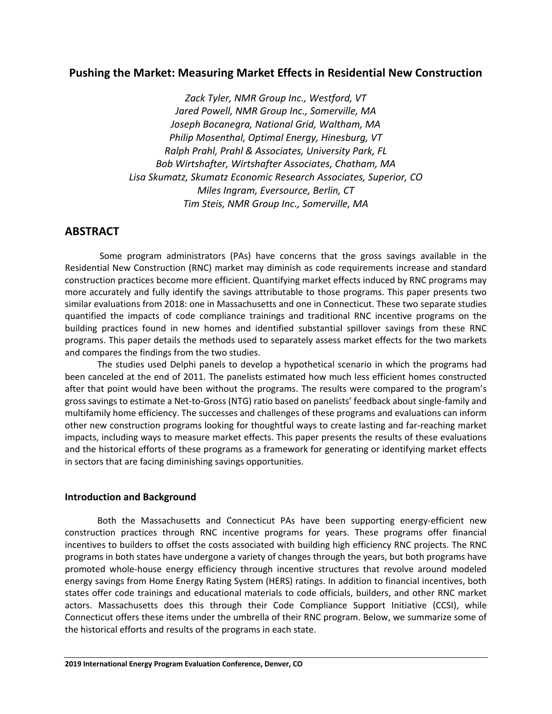# **Pushing the Market: Measuring Market Effects in Residential New Construction**

*Zack Tyler, NMR Group Inc., Westford, VT Jared Powell, NMR Group Inc., Somerville, MA Joseph Bocanegra, National Grid, Waltham, MA Philip Mosenthal, Optimal Energy, Hinesburg, VT Ralph Prahl, Prahl & Associates, University Park, FL Bob Wirtshafter, Wirtshafter Associates, Chatham, MA Lisa Skumatz, Skumatz Economic Research Associates, Superior, CO Miles Ingram, Eversource, Berlin, CT Tim Steis, NMR Group Inc., Somerville, MA*

# **ABSTRACT**

Some program administrators (PAs) have concerns that the gross savings available in the Residential New Construction (RNC) market may diminish as code requirements increase and standard construction practices become more efficient. Quantifying market effects induced by RNC programs may more accurately and fully identify the savings attributable to those programs. This paper presents two similar evaluations from 2018: one in Massachusetts and one in Connecticut. These two separate studies quantified the impacts of code compliance trainings and traditional RNC incentive programs on the building practices found in new homes and identified substantial spillover savings from these RNC programs. This paper details the methods used to separately assess market effects for the two markets and compares the findings from the two studies.

The studies used Delphi panels to develop a hypothetical scenario in which the programs had been canceled at the end of 2011. The panelists estimated how much less efficient homes constructed after that point would have been without the programs. The results were compared to the program's gross savings to estimate a Net-to-Gross (NTG) ratio based on panelists' feedback about single-family and multifamily home efficiency. The successes and challenges of these programs and evaluations can inform other new construction programs looking for thoughtful ways to create lasting and far-reaching market impacts, including ways to measure market effects. This paper presents the results of these evaluations and the historical efforts of these programs as a framework for generating or identifying market effects in sectors that are facing diminishing savings opportunities.

## **Introduction and Background**

Both the Massachusetts and Connecticut PAs have been supporting energy-efficient new construction practices through RNC incentive programs for years. These programs offer financial incentives to builders to offset the costs associated with building high efficiency RNC projects. The RNC programs in both states have undergone a variety of changes through the years, but both programs have promoted whole-house energy efficiency through incentive structures that revolve around modeled energy savings from Home Energy Rating System (HERS) ratings. In addition to financial incentives, both states offer code trainings and educational materials to code officials, builders, and other RNC market actors. Massachusetts does this through their Code Compliance Support Initiative (CCSI), while Connecticut offers these items under the umbrella of their RNC program. Below, we summarize some of the historical efforts and results of the programs in each state.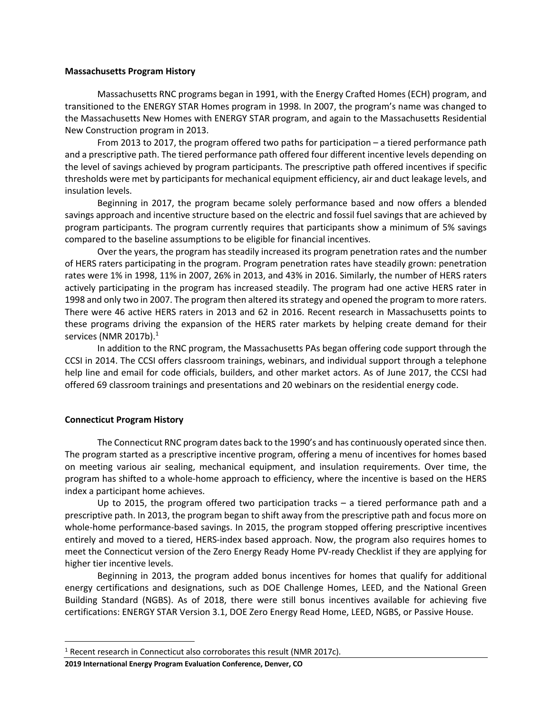#### **Massachusetts Program History**

Massachusetts RNC programs began in 1991, with the Energy Crafted Homes (ECH) program, and transitioned to the ENERGY STAR Homes program in 1998. In 2007, the program's name was changed to the Massachusetts New Homes with ENERGY STAR program, and again to the Massachusetts Residential New Construction program in 2013.

From 2013 to 2017, the program offered two paths for participation – a tiered performance path and a prescriptive path. The tiered performance path offered four different incentive levels depending on the level of savings achieved by program participants. The prescriptive path offered incentives if specific thresholds were met by participants for mechanical equipment efficiency, air and duct leakage levels, and insulation levels.

Beginning in 2017, the program became solely performance based and now offers a blended savings approach and incentive structure based on the electric and fossil fuel savings that are achieved by program participants. The program currently requires that participants show a minimum of 5% savings compared to the baseline assumptions to be eligible for financial incentives.

Over the years, the program has steadily increased its program penetration rates and the number of HERS raters participating in the program. Program penetration rates have steadily grown: penetration rates were 1% in 1998, 11% in 2007, 26% in 2013, and 43% in 2016. Similarly, the number of HERS raters actively participating in the program has increased steadily. The program had one active HERS rater in 1998 and only two in 2007. The program then altered its strategy and opened the program to more raters. There were 46 active HERS raters in 2013 and 62 in 2016. Recent research in Massachusetts points to these programs driving the expansion of the HERS rater markets by helping create demand for their services (NMR 2017b). $^1$ 

In addition to the RNC program, the Massachusetts PAs began offering code support through the CCSI in 2014. The CCSI offers classroom trainings, webinars, and individual support through a telephone help line and email for code officials, builders, and other market actors. As of June 2017, the CCSI had offered 69 classroom trainings and presentations and 20 webinars on the residential energy code.

#### **Connecticut Program History**

The Connecticut RNC program dates back to the 1990's and has continuously operated since then. The program started as a prescriptive incentive program, offering a menu of incentives for homes based on meeting various air sealing, mechanical equipment, and insulation requirements. Over time, the program has shifted to a whole-home approach to efficiency, where the incentive is based on the HERS index a participant home achieves.

Up to 2015, the program offered two participation tracks – a tiered performance path and a prescriptive path. In 2013, the program began to shift away from the prescriptive path and focus more on whole-home performance-based savings. In 2015, the program stopped offering prescriptive incentives entirely and moved to a tiered, HERS-index based approach. Now, the program also requires homes to meet the Connecticut version of the Zero Energy Ready Home PV-ready Checklist if they are applying for higher tier incentive levels.

Beginning in 2013, the program added bonus incentives for homes that qualify for additional energy certifications and designations, such as DOE Challenge Homes, LEED, and the National Green Building Standard (NGBS). As of 2018, there were still bonus incentives available for achieving five certifications: ENERGY STAR Version 3.1, DOE Zero Energy Read Home, LEED, NGBS, or Passive House.

<sup>&</sup>lt;sup>1</sup> Recent research in Connecticut also corroborates this result (NMR 2017c).

**<sup>2019</sup> International Energy Program Evaluation Conference, Denver, CO**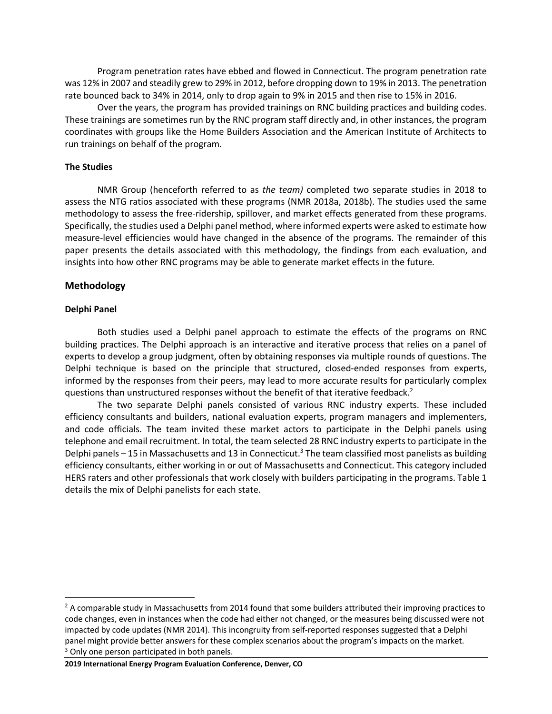Program penetration rates have ebbed and flowed in Connecticut. The program penetration rate was 12% in 2007 and steadily grew to 29% in 2012, before dropping down to 19% in 2013. The penetration rate bounced back to 34% in 2014, only to drop again to 9% in 2015 and then rise to 15% in 2016.

Over the years, the program has provided trainings on RNC building practices and building codes. These trainings are sometimes run by the RNC program staff directly and, in other instances, the program coordinates with groups like the Home Builders Association and the American Institute of Architects to run trainings on behalf of the program.

#### **The Studies**

NMR Group (henceforth referred to as *the team)* completed two separate studies in 2018 to assess the NTG ratios associated with these programs (NMR 2018a, 2018b). The studies used the same methodology to assess the free-ridership, spillover, and market effects generated from these programs. Specifically, the studies used a Delphi panel method, where informed experts were asked to estimate how measure-level efficiencies would have changed in the absence of the programs. The remainder of this paper presents the details associated with this methodology, the findings from each evaluation, and insights into how other RNC programs may be able to generate market effects in the future.

## **Methodology**

#### **Delphi Panel**

Both studies used a Delphi panel approach to estimate the effects of the programs on RNC building practices. The Delphi approach is an interactive and iterative process that relies on a panel of experts to develop a group judgment, often by obtaining responses via multiple rounds of questions. The Delphi technique is based on the principle that structured, closed-ended responses from experts, informed by the responses from their peers, may lead to more accurate results for particularly complex questions than unstructured responses without the benefit of that iterative feedback.<sup>2</sup>

The two separate Delphi panels consisted of various RNC industry experts. These included efficiency consultants and builders, national evaluation experts, program managers and implementers, and code officials. The team invited these market actors to participate in the Delphi panels using telephone and email recruitment. In total, the team selected 28 RNC industry experts to participate in the Delphi panels - 15 in Massachusetts and 13 in Connecticut.<sup>3</sup> The team classified most panelists as building efficiency consultants, either working in or out of Massachusetts and Connecticut. This category included HERS raters and other professionals that work closely with builders participating in the programs. Table 1 details the mix of Delphi panelists for each state.

<sup>&</sup>lt;sup>2</sup> A comparable study in Massachusetts from 2014 found that some builders attributed their improving practices to code changes, even in instances when the code had either not changed, or the measures being discussed were not impacted by code updates (NMR 2014). This incongruity from self-reported responses suggested that a Delphi panel might provide better answers for these complex scenarios about the program's impacts on the market. <sup>3</sup> Only one person participated in both panels.

**<sup>2019</sup> International Energy Program Evaluation Conference, Denver, CO**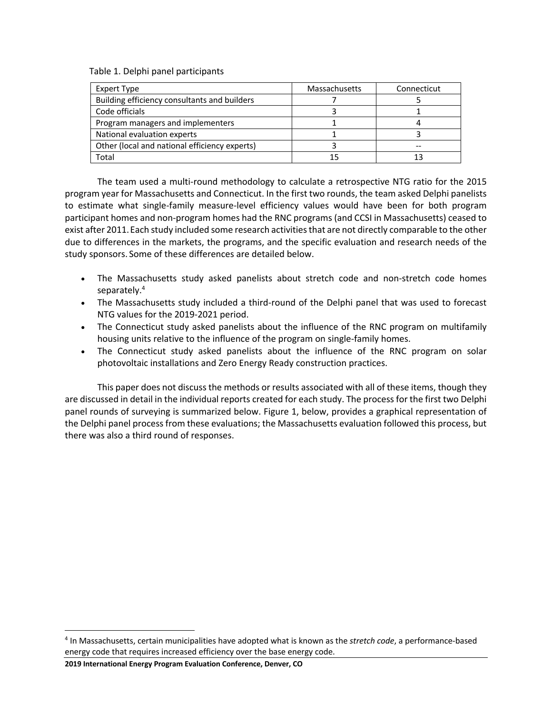Table 1. Delphi panel participants

| Expert Type                                   | Massachusetts | Connecticut |
|-----------------------------------------------|---------------|-------------|
| Building efficiency consultants and builders  |               |             |
| Code officials                                |               |             |
| Program managers and implementers             |               |             |
| National evaluation experts                   |               |             |
| Other (local and national efficiency experts) |               |             |
| Total                                         |               |             |

The team used a multi-round methodology to calculate a retrospective NTG ratio for the 2015 program year for Massachusetts and Connecticut. In the first two rounds, the team asked Delphi panelists to estimate what single-family measure-level efficiency values would have been for both program participant homes and non-program homes had the RNC programs (and CCSI in Massachusetts) ceased to exist after 2011.Each study included some research activities that are not directly comparable to the other due to differences in the markets, the programs, and the specific evaluation and research needs of the study sponsors. Some of these differences are detailed below.

- The Massachusetts study asked panelists about stretch code and non-stretch code homes separately. 4
- The Massachusetts study included a third-round of the Delphi panel that was used to forecast NTG values for the 2019-2021 period.
- The Connecticut study asked panelists about the influence of the RNC program on multifamily housing units relative to the influence of the program on single-family homes.
- The Connecticut study asked panelists about the influence of the RNC program on solar photovoltaic installations and Zero Energy Ready construction practices.

This paper does not discuss the methods or results associated with all of these items, though they are discussed in detail in the individual reports created for each study. The process for the first two Delphi panel rounds of surveying is summarized below. Figure 1, below, provides a graphical representation of the Delphi panel process from these evaluations; the Massachusetts evaluation followed this process, but there was also a third round of responses.

**2019 International Energy Program Evaluation Conference, Denver, CO**

 <sup>4</sup> In Massachusetts, certain municipalities have adopted what is known as the *stretch code*, a performance-based energy code that requires increased efficiency over the base energy code.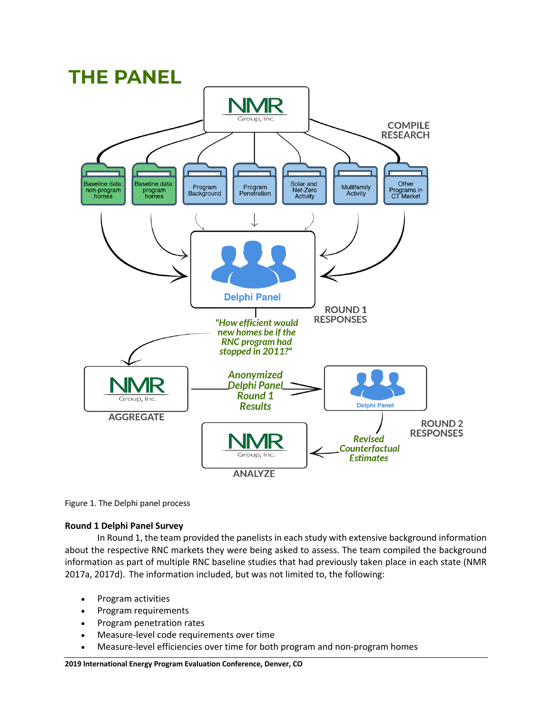

Figure 1. The Delphi panel process

## **Round 1 Delphi Panel Survey**

In Round 1, the team provided the panelists in each study with extensive background information about the respective RNC markets they were being asked to assess. The team compiled the background information as part of multiple RNC baseline studies that had previously taken place in each state (NMR 2017a, 2017d). The information included, but was not limited to, the following:

- Program activities
- Program requirements
- Program penetration rates
- Measure-level code requirements over time
- Measure-level efficiencies over time for both program and non-program homes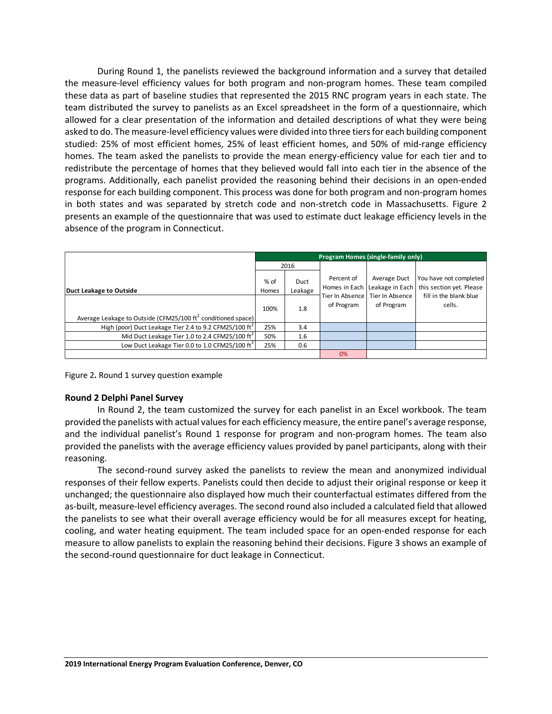During Round 1, the panelists reviewed the background information and a survey that detailed the measure-level efficiency values for both program and non-program homes. These team compiled these data as part of baseline studies that represented the 2015 RNC program years in each state. The team distributed the survey to panelists as an Excel spreadsheet in the form of a questionnaire, which allowed for a clear presentation of the information and detailed descriptions of what they were being asked to do. The measure-level efficiency values were divided into three tiers for each building component studied: 25% of most efficient homes, 25% of least efficient homes, and 50% of mid-range efficiency homes. The team asked the panelists to provide the mean energy-efficiency value for each tier and to redistribute the percentage of homes that they believed would fall into each tier in the absence of the programs. Additionally, each panelist provided the reasoning behind their decisions in an open-ended response for each building component. This process was done for both program and non-program homes in both states and was separated by stretch code and non-stretch code in Massachusetts. Figure 2 presents an example of the questionnaire that was used to estimate duct leakage efficiency levels in the absence of the program in Connecticut.

|                                                                        | Program Homes (single-family only) |                 |            |                                                 |                                                    |  |
|------------------------------------------------------------------------|------------------------------------|-----------------|------------|-------------------------------------------------|----------------------------------------------------|--|
|                                                                        | 2016                               |                 |            |                                                 |                                                    |  |
| Duct Leakage to Outside                                                |                                    | Duct<br>Leakage | Percent of | Average Duct<br>Homes in Each Leakage in Each   | You have not completed<br>this section yet. Please |  |
| Average Leakage to Outside (CFM25/100 $\text{ft}^2$ conditioned space) | 100%                               | 1.8             | of Program | Tier In Absence   Tier In Absence<br>of Program | fill in the blank blue<br>cells.                   |  |
| High (poor) Duct Leakage Tier 2.4 to 9.2 CFM25/100 $\text{ft}^2$       | 25%                                | 3.4             |            |                                                 |                                                    |  |
| Mid Duct Leakage Tier 1.0 to 2.4 CFM25/100 ft <sup>2</sup>             | 50%                                | 1.6             |            |                                                 |                                                    |  |
| Low Duct Leakage Tier 0.0 to 1.0 CFM25/100 ft <sup>2</sup>             | 25%                                | 0.6             |            |                                                 |                                                    |  |
|                                                                        |                                    |                 | 0%         |                                                 |                                                    |  |

Figure 2**.** Round 1 survey question example

## **Round 2 Delphi Panel Survey**

In Round 2, the team customized the survey for each panelist in an Excel workbook. The team provided the panelists with actual values for each efficiency measure, the entire panel's average response, and the individual panelist's Round 1 response for program and non-program homes. The team also provided the panelists with the average efficiency values provided by panel participants, along with their reasoning.

The second-round survey asked the panelists to review the mean and anonymized individual responses of their fellow experts. Panelists could then decide to adjust their original response or keep it unchanged; the questionnaire also displayed how much their counterfactual estimates differed from the as-built, measure-level efficiency averages. The second round also included a calculated field that allowed the panelists to see what their overall average efficiency would be for all measures except for heating, cooling, and water heating equipment. The team included space for an open-ended response for each measure to allow panelists to explain the reasoning behind their decisions. Figure 3 shows an example of the second-round questionnaire for duct leakage in Connecticut.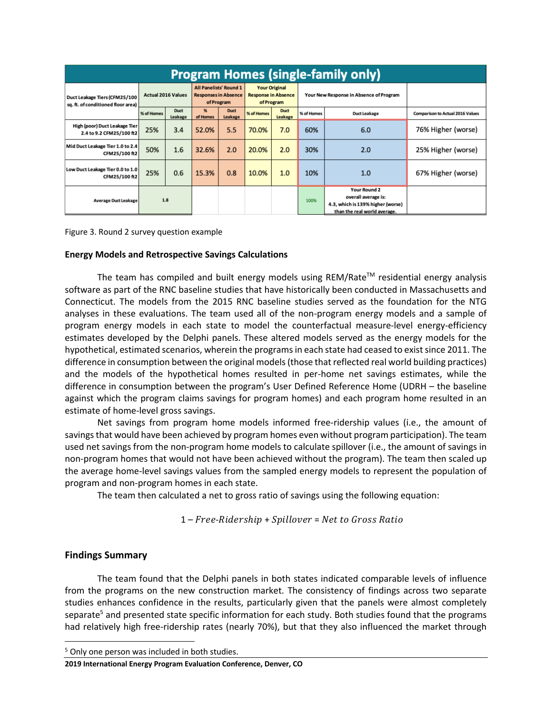| <b>Program Homes (single-family only)</b>                                                        |            |                                                                     |               |                                                                  |            |                                         |            |                                                                                                                 |                                         |
|--------------------------------------------------------------------------------------------------|------------|---------------------------------------------------------------------|---------------|------------------------------------------------------------------|------------|-----------------------------------------|------------|-----------------------------------------------------------------------------------------------------------------|-----------------------------------------|
| <b>Actual 2016 Values</b><br>Duct Leakage Tiers (CFM25/100<br>sq. ft. of conditioned floor area) |            | All Panelists' Round 1<br><b>Responses in Absence</b><br>of Program |               | <b>Your Original</b><br><b>Response in Absence</b><br>of Program |            | Your New Response in Absence of Program |            |                                                                                                                 |                                         |
|                                                                                                  | % of Homes | <b>Duct</b><br>Leakage                                              | %<br>of Homes | <b>Duct</b><br>Leakage                                           | % of Homes | <b>Duct</b><br>Leakage                  | % of Homes | <b>Duct Leakage</b>                                                                                             | <b>Comparison to Actual 2016 Values</b> |
| High (poor) Duct Leakage Tier<br>2.4 to 9.2 CFM25/100 ft2                                        | 25%        | 3.4                                                                 | 52.0%         | 5.5                                                              | 70.0%      | 7.0                                     | 60%        | 6.0                                                                                                             | 76% Higher (worse)                      |
| Mid Duct Leakage Tier 1.0 to 2.4<br>CFM25/100 ft2                                                | 50%        | 1.6                                                                 | 32.6%         | 2.0                                                              | 20.0%      | 2.0                                     | 30%        | 2.0                                                                                                             | 25% Higher (worse)                      |
| Low Duct Leakage Tier 0.0 to 1.0<br>CFM25/100 ft2                                                | 25%        | 0.6                                                                 | 15.3%         | 0.8                                                              | 10.0%      | 1.0                                     | 10%        | 1.0                                                                                                             | 67% Higher (worse)                      |
| <b>Average Duct Leakage</b>                                                                      | 1.8        |                                                                     |               |                                                                  |            |                                         | 100%       | <b>Your Round 2</b><br>overall average is:<br>4.3, which is 139% higher (worse)<br>than the real world average. |                                         |

Figure 3. Round 2 survey question example

#### **Energy Models and Retrospective Savings Calculations**

The team has compiled and built energy models using REM/Rate™ residential energy analysis software as part of the RNC baseline studies that have historically been conducted in Massachusetts and Connecticut. The models from the 2015 RNC baseline studies served as the foundation for the NTG analyses in these evaluations. The team used all of the non-program energy models and a sample of program energy models in each state to model the counterfactual measure-level energy-efficiency estimates developed by the Delphi panels. These altered models served as the energy models for the hypothetical, estimated scenarios, wherein the programsin each state had ceased to exist since 2011. The difference in consumption between the original models(those that reflected real world building practices) and the models of the hypothetical homes resulted in per-home net savings estimates, while the difference in consumption between the program's User Defined Reference Home (UDRH – the baseline against which the program claims savings for program homes) and each program home resulted in an estimate of home-level gross savings.

Net savings from program home models informed free-ridership values (i.e., the amount of savings that would have been achieved by program homes even without program participation). The team used net savings from the non-program home models to calculate spillover (i.e., the amount of savings in non-program homes that would not have been achieved without the program). The team then scaled up the average home-level savings values from the sampled energy models to represent the population of program and non-program homes in each state.

The team then calculated a net to gross ratio of savings using the following equation:

1 – Free-Ridership + Spillover = Net to Gross Ratio

## **Findings Summary**

The team found that the Delphi panels in both states indicated comparable levels of influence from the programs on the new construction market. The consistency of findings across two separate studies enhances confidence in the results, particularly given that the panels were almost completely separate<sup>5</sup> and presented state specific information for each study. Both studies found that the programs had relatively high free-ridership rates (nearly 70%), but that they also influenced the market through

<sup>&</sup>lt;sup>5</sup> Only one person was included in both studies.

**<sup>2019</sup> International Energy Program Evaluation Conference, Denver, CO**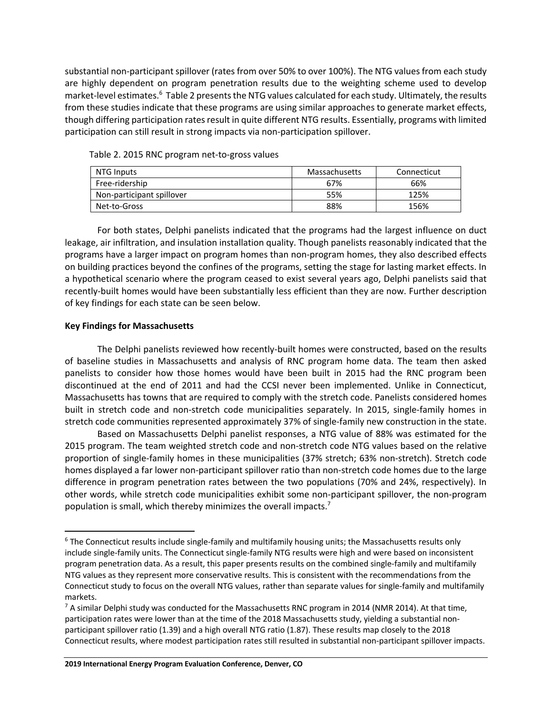substantial non-participant spillover (rates from over 50% to over 100%). The NTG values from each study are highly dependent on program penetration results due to the weighting scheme used to develop market-level estimates.<sup>6</sup> Table 2 presents the NTG values calculated for each study. Ultimately, the results from these studies indicate that these programs are using similar approaches to generate market effects, though differing participation rates result in quite different NTG results. Essentially, programs with limited participation can still result in strong impacts via non-participation spillover.

| NTG Inputs                | Massachusetts | Connecticut |
|---------------------------|---------------|-------------|
| Free-ridership            | 67%           | 66%         |
| Non-participant spillover | 55%           | 125%        |
| Net-to-Gross              | 88%           | 156%        |

Table 2. 2015 RNC program net-to-gross values

For both states, Delphi panelists indicated that the programs had the largest influence on duct leakage, air infiltration, and insulation installation quality. Though panelists reasonably indicated that the programs have a larger impact on program homes than non-program homes, they also described effects on building practices beyond the confines of the programs, setting the stage for lasting market effects. In a hypothetical scenario where the program ceased to exist several years ago, Delphi panelists said that recently-built homes would have been substantially less efficient than they are now. Further description of key findings for each state can be seen below.

## **Key Findings for Massachusetts**

The Delphi panelists reviewed how recently-built homes were constructed, based on the results of baseline studies in Massachusetts and analysis of RNC program home data. The team then asked panelists to consider how those homes would have been built in 2015 had the RNC program been discontinued at the end of 2011 and had the CCSI never been implemented. Unlike in Connecticut, Massachusetts has towns that are required to comply with the stretch code. Panelists considered homes built in stretch code and non-stretch code municipalities separately. In 2015, single-family homes in stretch code communities represented approximately 37% of single-family new construction in the state.

Based on Massachusetts Delphi panelist responses, a NTG value of 88% was estimated for the 2015 program. The team weighted stretch code and non-stretch code NTG values based on the relative proportion of single-family homes in these municipalities (37% stretch; 63% non-stretch). Stretch code homes displayed a far lower non-participant spillover ratio than non-stretch code homes due to the large difference in program penetration rates between the two populations (70% and 24%, respectively). In other words, while stretch code municipalities exhibit some non-participant spillover, the non-program population is small, which thereby minimizes the overall impacts.<sup>7</sup>

<sup>&</sup>lt;sup>6</sup> The Connecticut results include single-family and multifamily housing units; the Massachusetts results only include single-family units. The Connecticut single-family NTG results were high and were based on inconsistent program penetration data. As a result, this paper presents results on the combined single-family and multifamily NTG values as they represent more conservative results. This is consistent with the recommendations from the Connecticut study to focus on the overall NTG values, rather than separate values for single-family and multifamily markets.

 $7$  A similar Delphi study was conducted for the Massachusetts RNC program in 2014 (NMR 2014). At that time, participation rates were lower than at the time of the 2018 Massachusetts study, yielding a substantial nonparticipant spillover ratio (1.39) and a high overall NTG ratio (1.87). These results map closely to the 2018 Connecticut results, where modest participation rates still resulted in substantial non-participant spillover impacts.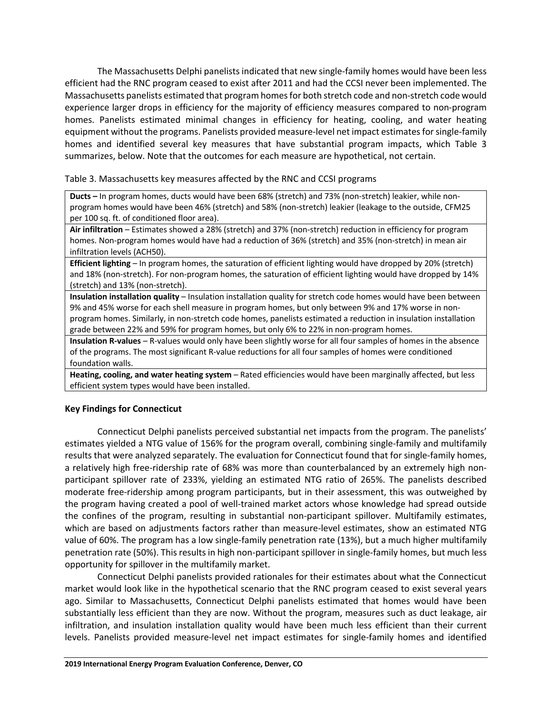The Massachusetts Delphi panelists indicated that new single-family homes would have been less efficient had the RNC program ceased to exist after 2011 and had the CCSI never been implemented. The Massachusetts panelists estimated that program homes for both stretch code and non-stretch code would experience larger drops in efficiency for the majority of efficiency measures compared to non-program homes. Panelists estimated minimal changes in efficiency for heating, cooling, and water heating equipment without the programs. Panelists provided measure-level net impact estimates for single-family homes and identified several key measures that have substantial program impacts, which Table 3 summarizes, below. Note that the outcomes for each measure are hypothetical, not certain.

#### Table 3. Massachusetts key measures affected by the RNC and CCSI programs

**Ducts –** In program homes, ducts would have been 68% (stretch) and 73% (non-stretch) leakier, while nonprogram homes would have been 46% (stretch) and 58% (non-stretch) leakier (leakage to the outside, CFM25 per 100 sq. ft. of conditioned floor area).

**Air infiltration** – Estimates showed a 28% (stretch) and 37% (non-stretch) reduction in efficiency for program homes. Non-program homes would have had a reduction of 36% (stretch) and 35% (non-stretch) in mean air infiltration levels (ACH50).

**Efficient lighting** – In program homes, the saturation of efficient lighting would have dropped by 20% (stretch) and 18% (non-stretch). For non-program homes, the saturation of efficient lighting would have dropped by 14% (stretch) and 13% (non-stretch).

**Insulation installation quality** – Insulation installation quality for stretch code homes would have been between 9% and 45% worse for each shell measure in program homes, but only between 9% and 17% worse in nonprogram homes. Similarly, in non-stretch code homes, panelists estimated a reduction in insulation installation grade between 22% and 59% for program homes, but only 6% to 22% in non-program homes.

**Insulation R-values** – R-values would only have been slightly worse for all four samples of homes in the absence of the programs. The most significant R-value reductions for all four samples of homes were conditioned foundation walls.

**Heating, cooling, and water heating system** – Rated efficiencies would have been marginally affected, but less efficient system types would have been installed.

## **Key Findings for Connecticut**

Connecticut Delphi panelists perceived substantial net impacts from the program. The panelists' estimates yielded a NTG value of 156% for the program overall, combining single-family and multifamily results that were analyzed separately. The evaluation for Connecticut found that for single-family homes, a relatively high free-ridership rate of 68% was more than counterbalanced by an extremely high nonparticipant spillover rate of 233%, yielding an estimated NTG ratio of 265%. The panelists described moderate free-ridership among program participants, but in their assessment, this was outweighed by the program having created a pool of well-trained market actors whose knowledge had spread outside the confines of the program, resulting in substantial non-participant spillover. Multifamily estimates, which are based on adjustments factors rather than measure-level estimates, show an estimated NTG value of 60%. The program has a low single-family penetration rate (13%), but a much higher multifamily penetration rate (50%). This results in high non-participant spillover in single-family homes, but much less opportunity for spillover in the multifamily market.

Connecticut Delphi panelists provided rationales for their estimates about what the Connecticut market would look like in the hypothetical scenario that the RNC program ceased to exist several years ago. Similar to Massachusetts, Connecticut Delphi panelists estimated that homes would have been substantially less efficient than they are now. Without the program, measures such as duct leakage, air infiltration, and insulation installation quality would have been much less efficient than their current levels. Panelists provided measure-level net impact estimates for single-family homes and identified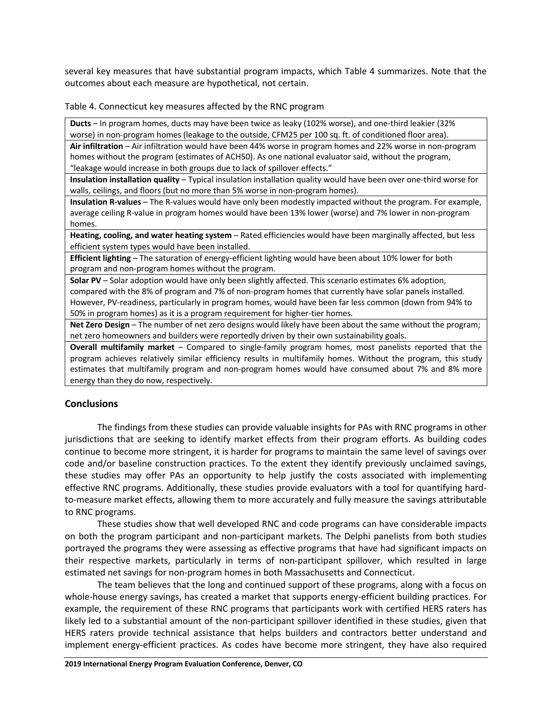several key measures that have substantial program impacts, which Table 4 summarizes. Note that the outcomes about each measure are hypothetical, not certain.

Table 4. Connecticut key measures affected by the RNC program

**Ducts** – In program homes, ducts may have been twice as leaky (102% worse), and one-third leakier (32% worse) in non-program homes (leakage to the outside, CFM25 per 100 sq. ft. of conditioned floor area).

**Air infiltration** – Air infiltration would have been 44% worse in program homes and 22% worse in non-program homes without the program (estimates of ACH50). As one national evaluator said, without the program, "leakage would increase in both groups due to lack of spillover effects."

**Insulation installation quality** – Typical insulation installation quality would have been over one-third worse for walls, ceilings, and floors (but no more than 5% worse in non-program homes).

**Insulation R-values** – The R-values would have only been modestly impacted without the program. For example, average ceiling R-value in program homes would have been 13% lower (worse) and 7% lower in non-program homes.

**Heating, cooling, and water heating system** – Rated efficiencies would have been marginally affected, but less efficient system types would have been installed.

**Efficient lighting** – The saturation of energy-efficient lighting would have been about 10% lower for both program and non-program homes without the program.

**Solar PV** – Solar adoption would have only been slightly affected. This scenario estimates 6% adoption, compared with the 8% of program and 7% of non-program homes that currently have solar panels installed. However, PV-readiness, particularly in program homes, would have been far less common (down from 94% to 50% in program homes) as it is a program requirement for higher-tier homes.

**Net Zero Design** – The number of net zero designs would likely have been about the same without the program; net zero homeowners and builders were reportedly driven by their own sustainability goals.

**Overall multifamily market** – Compared to single-family program homes, most panelists reported that the program achieves relatively similar efficiency results in multifamily homes. Without the program, this study estimates that multifamily program and non-program homes would have consumed about 7% and 8% more energy than they do now, respectively.

## **Conclusions**

The findings from these studies can provide valuable insights for PAs with RNC programs in other jurisdictions that are seeking to identify market effects from their program efforts. As building codes continue to become more stringent, it is harder for programs to maintain the same level of savings over code and/or baseline construction practices. To the extent they identify previously unclaimed savings, these studies may offer PAs an opportunity to help justify the costs associated with implementing effective RNC programs. Additionally, these studies provide evaluators with a tool for quantifying hardto-measure market effects, allowing them to more accurately and fully measure the savings attributable to RNC programs.

These studies show that well developed RNC and code programs can have considerable impacts on both the program participant and non-participant markets. The Delphi panelists from both studies portrayed the programs they were assessing as effective programs that have had significant impacts on their respective markets, particularly in terms of non-participant spillover, which resulted in large estimated net savings for non-program homes in both Massachusetts and Connecticut.

The team believes that the long and continued support of these programs, along with a focus on whole-house energy savings, has created a market that supports energy-efficient building practices. For example, the requirement of these RNC programs that participants work with certified HERS raters has likely led to a substantial amount of the non-participant spillover identified in these studies, given that HERS raters provide technical assistance that helps builders and contractors better understand and implement energy-efficient practices. As codes have become more stringent, they have also required